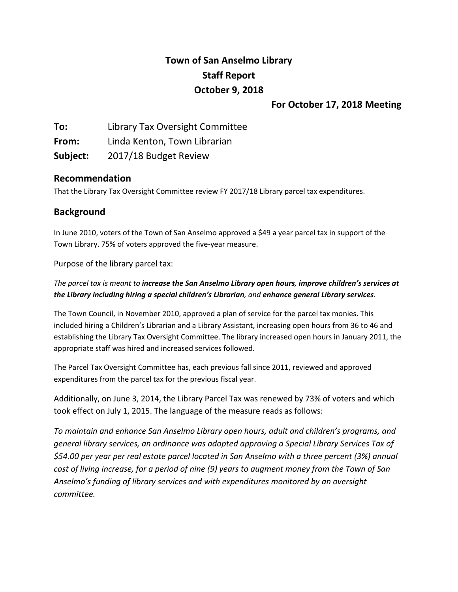# **Town of San Anselmo Library Staff Report October 9, 2018**

# **For October 17, 2018 Meeting**

**To:** Library Tax Oversight Committee **From:** Linda Kenton, Town Librarian **Subject:** 2017/18 Budget Review

# **Recommendation**

That the Library Tax Oversight Committee review FY 2017/18 Library parcel tax expenditures.

# **Background**

In June 2010, voters of the Town of San Anselmo approved a \$49 a year parcel tax in support of the Town Library. 75% of voters approved the five-year measure.

Purpose of the library parcel tax:

## *The parcel tax is meant to increase the San Anselmo Library open hours, improve children's services at the Library including hiring a special children's Librarian, and enhance general Library services.*

The Town Council, in November 2010, approved a plan of service for the parcel tax monies. This included hiring a Children's Librarian and a Library Assistant, increasing open hours from 36 to 46 and establishing the Library Tax Oversight Committee. The library increased open hours in January 2011, the appropriate staff was hired and increased services followed.

The Parcel Tax Oversight Committee has, each previous fall since 2011, reviewed and approved expenditures from the parcel tax for the previous fiscal year.

Additionally, on June 3, 2014, the Library Parcel Tax was renewed by 73% of voters and which took effect on July 1, 2015. The language of the measure reads as follows:

*To maintain and enhance San Anselmo Library open hours, adult and children's programs, and general library services, an ordinance was adopted approving a Special Library Services Tax of \$54.00 per year per real estate parcel located in San Anselmo with a three percent (3%) annual cost of living increase, for a period of nine (9) years to augment money from the Town of San Anselmo's funding of library services and with expenditures monitored by an oversight committee.*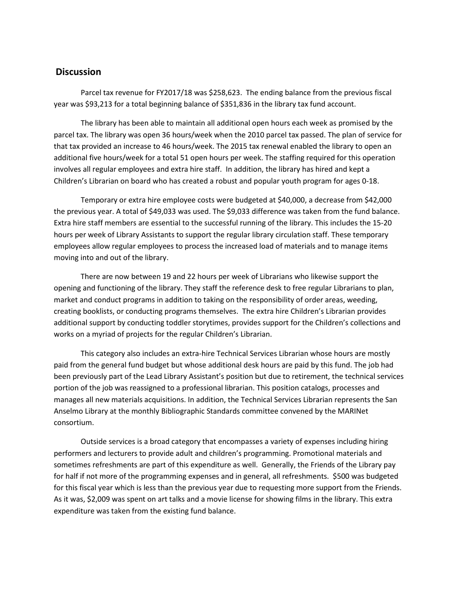### **Discussion**

Parcel tax revenue for FY2017/18 was \$258,623. The ending balance from the previous fiscal year was \$93,213 for a total beginning balance of \$351,836 in the library tax fund account.

The library has been able to maintain all additional open hours each week as promised by the parcel tax. The library was open 36 hours/week when the 2010 parcel tax passed. The plan of service for that tax provided an increase to 46 hours/week. The 2015 tax renewal enabled the library to open an additional five hours/week for a total 51 open hours per week. The staffing required for this operation involves all regular employees and extra hire staff. In addition, the library has hired and kept a Children's Librarian on board who has created a robust and popular youth program for ages 0-18.

Temporary or extra hire employee costs were budgeted at \$40,000, a decrease from \$42,000 the previous year. A total of \$49,033 was used. The \$9,033 difference was taken from the fund balance. Extra hire staff members are essential to the successful running of the library. This includes the 15-20 hours per week of Library Assistants to support the regular library circulation staff. These temporary employees allow regular employees to process the increased load of materials and to manage items moving into and out of the library.

There are now between 19 and 22 hours per week of Librarians who likewise support the opening and functioning of the library. They staff the reference desk to free regular Librarians to plan, market and conduct programs in addition to taking on the responsibility of order areas, weeding, creating booklists, or conducting programs themselves. The extra hire Children's Librarian provides additional support by conducting toddler storytimes, provides support for the Children's collections and works on a myriad of projects for the regular Children's Librarian.

This category also includes an extra-hire Technical Services Librarian whose hours are mostly paid from the general fund budget but whose additional desk hours are paid by this fund. The job had been previously part of the Lead Library Assistant's position but due to retirement, the technical services portion of the job was reassigned to a professional librarian. This position catalogs, processes and manages all new materials acquisitions. In addition, the Technical Services Librarian represents the San Anselmo Library at the monthly Bibliographic Standards committee convened by the MARINet consortium.

Outside services is a broad category that encompasses a variety of expenses including hiring performers and lecturers to provide adult and children's programming. Promotional materials and sometimes refreshments are part of this expenditure as well. Generally, the Friends of the Library pay for half if not more of the programming expenses and in general, all refreshments. \$500 was budgeted for this fiscal year which is less than the previous year due to requesting more support from the Friends. As it was, \$2,009 was spent on art talks and a movie license for showing films in the library. This extra expenditure was taken from the existing fund balance.